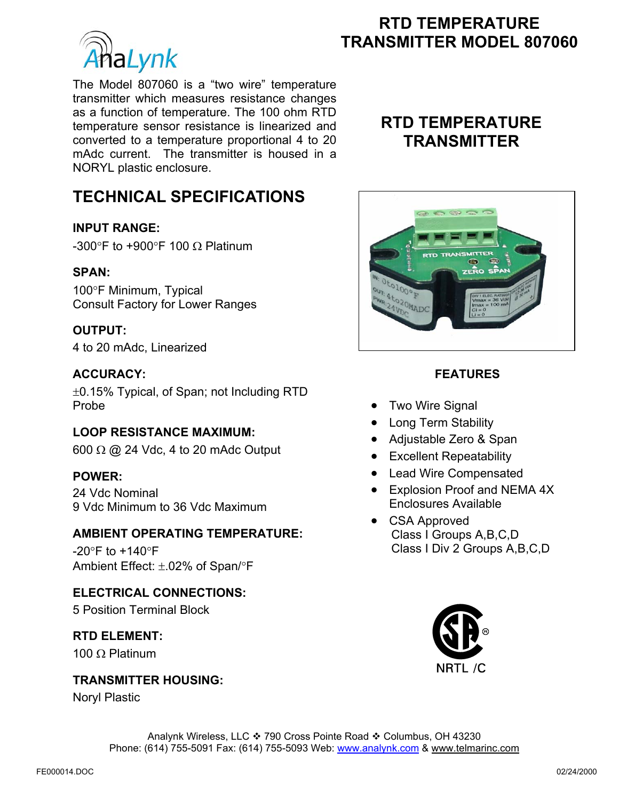

The Model 807060 is a "two wire" temperature transmitter which measures resistance changes as a function of temperature. The 100 ohm RTD temperature sensor resistance is linearized and converted to a temperature proportional 4 to 20 mAdc current. The transmitter is housed in a NORYL plastic enclosure.

# **RTD TEMPERATURE TRANSMITTER MODEL 807060**<br>TRANSMITTER MODEL 807060

# **RTD TEMPERATURE TRANSMITTER**

# **TECHNICAL SPECIFICATIONS**

## **INPUT RANGE:**

-300°F to +900°F 100 Ω Platinum

#### **SPAN:**

100°F Minimum, Typical Consult Factory for Lower Ranges

#### **OUTPUT:**

4 to 20 mAdc, Linearized

## **ACCURACY:**

±0.15% Typical, of Span; not Including RTD Probe

#### **LOOP RESISTANCE MAXIMUM:**

600  $\Omega$  @ 24 Vdc, 4 to 20 mAdc Output

#### **POWER:**

24 Vdc Nominal 9 Vdc Minimum to 36 Vdc Maximum

#### **AMBIENT OPERATING TEMPERATURE:**

 $-20^\circ$ F to  $+140^\circ$ F Ambient Effect: ±.02% of Span/°F

# **ELECTRICAL CONNECTIONS:**

5 Position Terminal Block

## **RTD ELEMENT:**

100 Ω Platinum

#### **TRANSMITTER HOUSING:**

Noryl Plastic



# **FEATURES**

- Two Wire Signal
- Long Term Stability
- Adjustable Zero & Span
- Excellent Repeatability
- Lead Wire Compensated
- Explosion Proof and NEMA 4X Enclosures Available
- CSA Approved Class I Groups A,B,C,D Class I Div 2 Groups A,B,C,D